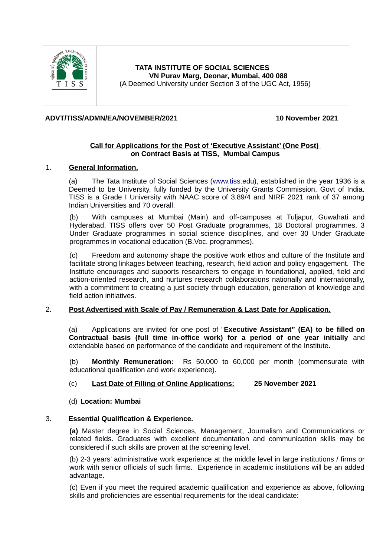

## **TATA INSTITUTE OF SOCIAL SCIENCES VN Purav Marg, Deonar, Mumbai, 400 088** (A Deemed University under Section 3 of the UGC Act, 1956)

## **ADVT/TISS/ADMN/EA/NOVEMBER/2021 10 November 2021**

### **Call for Applications for the Post of 'Executive Assistant' (One Post) on Contract Basis at TISS, Mumbai Campus**

## 1. **General Information.**

(a) The Tata Institute of Social Sciences [\(www.tiss.edu\)](http://www.tiss.edu/), established in the year 1936 is a Deemed to be University, fully funded by the University Grants Commission, Govt of India. TISS is a Grade I University with NAAC score of 3.89/4 and NIRF 2021 rank of 37 among Indian Universities and 70 overall.

(b) With campuses at Mumbai (Main) and off-campuses at Tuljapur, Guwahati and Hyderabad, TISS offers over 50 Post Graduate programmes, 18 Doctoral programmes, 3 Under Graduate programmes in social science disciplines, and over 30 Under Graduate programmes in vocational education (B.Voc. programmes).

(c) Freedom and autonomy shape the positive work ethos and culture of the Institute and facilitate strong linkages between teaching, research, field action and policy engagement. The Institute encourages and supports researchers to engage in foundational, applied, field and action-oriented research, and nurtures research collaborations nationally and internationally, with a commitment to creating a just society through education, generation of knowledge and field action initiatives.

#### 2. **Post Advertised with Scale of Pay / Remuneration & Last Date for Application.**

(a) Applications are invited for one post of "**Executive Assistant" (EA) to be filled on Contractual basis (full time in-office work) for a period of one year initially** and extendable based on performance of the candidate and requirement of the Institute.

(b) **Monthly Remuneration:** Rs 50,000 to 60,000 per month (commensurate with educational qualification and work experience).

#### (c) **Last Date of Filling of Online Applications: 25 November 2021**

#### (d) **Location: Mumbai**

#### 3. **Essential Qualification & Experience.**

**(a)** Master degree in Social Sciences, Management, Journalism and Communications or related fields. Graduates with excellent documentation and communication skills may be considered if such skills are proven at the screening level.

(b) 2-3 years' administrative work experience at the middle level in large institutions / firms or work with senior officials of such firms. Experience in academic institutions will be an added advantage.

(c) Even if you meet the required academic qualification and experience as above, following skills and proficiencies are essential requirements for the ideal candidate: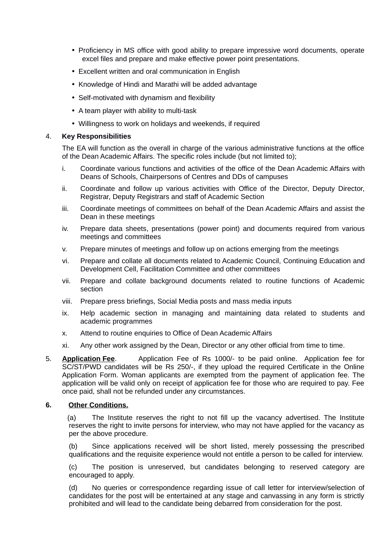- Proficiency in MS office with good ability to prepare impressive word documents, operate excel files and prepare and make effective power point presentations.
- Excellent written and oral communication in English
- Knowledge of Hindi and Marathi will be added advantage
- Self-motivated with dynamism and flexibility
- A team player with ability to multi-task
- Willingness to work on holidays and weekends, if required

# 4. **Key Responsibilities**

The EA will function as the overall in charge of the various administrative functions at the office of the Dean Academic Affairs. The specific roles include (but not limited to);

- i. Coordinate various functions and activities of the office of the Dean Academic Affairs with Deans of Schools, Chairpersons of Centres and DDs of campuses
- ii. Coordinate and follow up various activities with Office of the Director, Deputy Director, Registrar, Deputy Registrars and staff of Academic Section
- iii. Coordinate meetings of committees on behalf of the Dean Academic Affairs and assist the Dean in these meetings
- iv. Prepare data sheets, presentations (power point) and documents required from various meetings and committees
- v. Prepare minutes of meetings and follow up on actions emerging from the meetings
- vi. Prepare and collate all documents related to Academic Council, Continuing Education and Development Cell, Facilitation Committee and other committees
- vii. Prepare and collate background documents related to routine functions of Academic section
- viii. Prepare press briefings, Social Media posts and mass media inputs
- ix. Help academic section in managing and maintaining data related to students and academic programmes
- x. Attend to routine enquiries to Office of Dean Academic Affairs
- xi. Any other work assigned by the Dean, Director or any other official from time to time.
- 5. **Application Fee**. Application Fee of Rs 1000/- to be paid online. Application fee for SC/ST/PWD candidates will be Rs 250/-, if they upload the required Certificate in the Online Application Form. Woman applicants are exempted from the payment of application fee. The application will be valid only on receipt of application fee for those who are required to pay. Fee once paid, shall not be refunded under any circumstances.

# **6. Other Conditions.**

 (a) The Institute reserves the right to not fill up the vacancy advertised. The Institute reserves the right to invite persons for interview, who may not have applied for the vacancy as per the above procedure.

(b) Since applications received will be short listed, merely possessing the prescribed qualifications and the requisite experience would not entitle a person to be called for interview.

(c) The position is unreserved, but candidates belonging to reserved category are encouraged to apply.

(d) No queries or correspondence regarding issue of call letter for interview/selection of candidates for the post will be entertained at any stage and canvassing in any form is strictly prohibited and will lead to the candidate being debarred from consideration for the post.